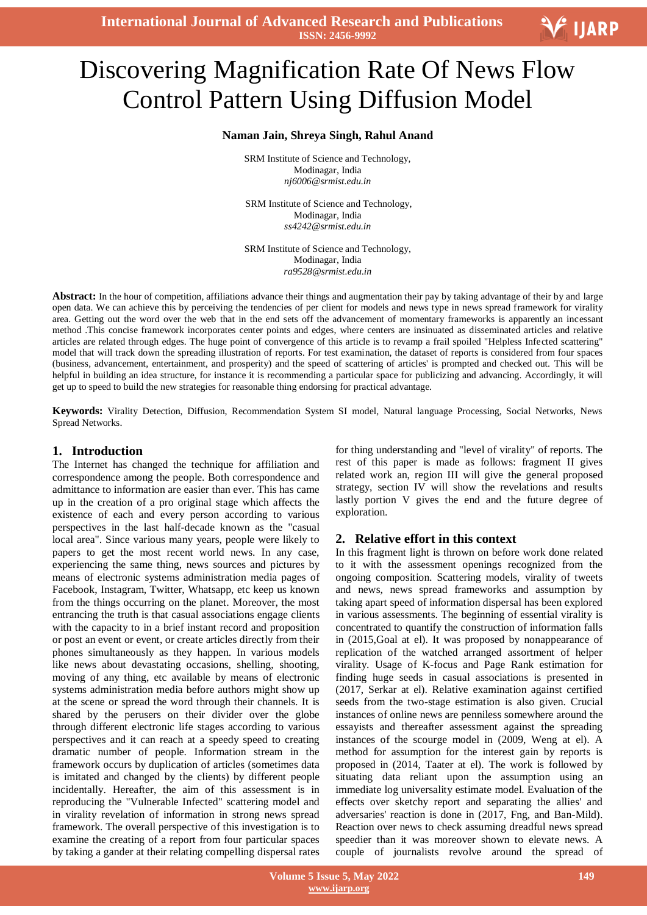**International Journal of Advanced Research and Publications ISSN: 2456-9992**

# Discovering Magnification Rate Of News Flow Control Pattern Using Diffusion Model

## **Naman Jain, Shreya Singh, Rahul Anand**

SRM Institute of Science and Technology, Modinagar, India *nj6006@srmist.edu.in*

 SRM Institute of Science and Technology, Modinagar, India *ss4242@srmist.edu.in*

SRM Institute of Science and Technology, Modinagar, India *ra9528@srmist.edu.in*

Abstract: In the hour of competition, affiliations advance their things and augmentation their pay by taking advantage of their by and large open data. We can achieve this by perceiving the tendencies of per client for models and news type in news spread framework for virality area. Getting out the word over the web that in the end sets off the advancement of momentary frameworks is apparently an incessant method .This concise framework incorporates center points and edges, where centers are insinuated as disseminated articles and relative articles are related through edges. The huge point of convergence of this article is to revamp a frail spoiled "Helpless Infected scattering" model that will track down the spreading illustration of reports. For test examination, the dataset of reports is considered from four spaces (business, advancement, entertainment, and prosperity) and the speed of scattering of articles' is prompted and checked out. This will be helpful in building an idea structure, for instance it is recommending a particular space for publicizing and advancing. Accordingly, it will get up to speed to build the new strategies for reasonable thing endorsing for practical advantage.

**Keywords:** Virality Detection, Diffusion, Recommendation System SI model, Natural language Processing, Social Networks, News Spread Networks.

## **1. Introduction**

The Internet has changed the technique for affiliation and correspondence among the people. Both correspondence and admittance to information are easier than ever. This has came up in the creation of a pro original stage which affects the existence of each and every person according to various perspectives in the last half-decade known as the "casual local area". Since various many years, people were likely to papers to get the most recent world news. In any case, experiencing the same thing, news sources and pictures by means of electronic systems administration media pages of Facebook, Instagram, Twitter, Whatsapp, etc keep us known from the things occurring on the planet. Moreover, the most entrancing the truth is that casual associations engage clients with the capacity to in a brief instant record and proposition or post an event or event, or create articles directly from their phones simultaneously as they happen. In various models like news about devastating occasions, shelling, shooting, moving of any thing, etc available by means of electronic systems administration media before authors might show up at the scene or spread the word through their channels. It is shared by the perusers on their divider over the globe through different electronic life stages according to various perspectives and it can reach at a speedy speed to creating dramatic number of people. Information stream in the framework occurs by duplication of articles (sometimes data is imitated and changed by the clients) by different people incidentally. Hereafter, the aim of this assessment is in reproducing the "Vulnerable Infected" scattering model and in virality revelation of information in strong news spread framework. The overall perspective of this investigation is to examine the creating of a report from four particular spaces by taking a gander at their relating compelling dispersal rates

for thing understanding and "level of virality" of reports. The rest of this paper is made as follows: fragment II gives related work an, region III will give the general proposed strategy, section IV will show the revelations and results lastly portion V gives the end and the future degree of exploration.

## **2. Relative effort in this context**

In this fragment light is thrown on before work done related to it with the assessment openings recognized from the ongoing composition. Scattering models, virality of tweets and news, news spread frameworks and assumption by taking apart speed of information dispersal has been explored in various assessments. The beginning of essential virality is concentrated to quantify the construction of information falls in (2015,Goal at el). It was proposed by nonappearance of replication of the watched arranged assortment of helper virality. Usage of K-focus and Page Rank estimation for finding huge seeds in casual associations is presented in (2017, Serkar at el). Relative examination against certified seeds from the two-stage estimation is also given. Crucial instances of online news are penniless somewhere around the essayists and thereafter assessment against the spreading instances of the scourge model in (2009, Weng at el). A method for assumption for the interest gain by reports is proposed in (2014, Taater at el). The work is followed by situating data reliant upon the assumption using an immediate log universality estimate model. Evaluation of the effects over sketchy report and separating the allies' and adversaries' reaction is done in (2017, Fng, and Ban-Mild). Reaction over news to check assuming dreadful news spread speedier than it was moreover shown to elevate news. A couple of journalists revolve around the spread of

V IJARP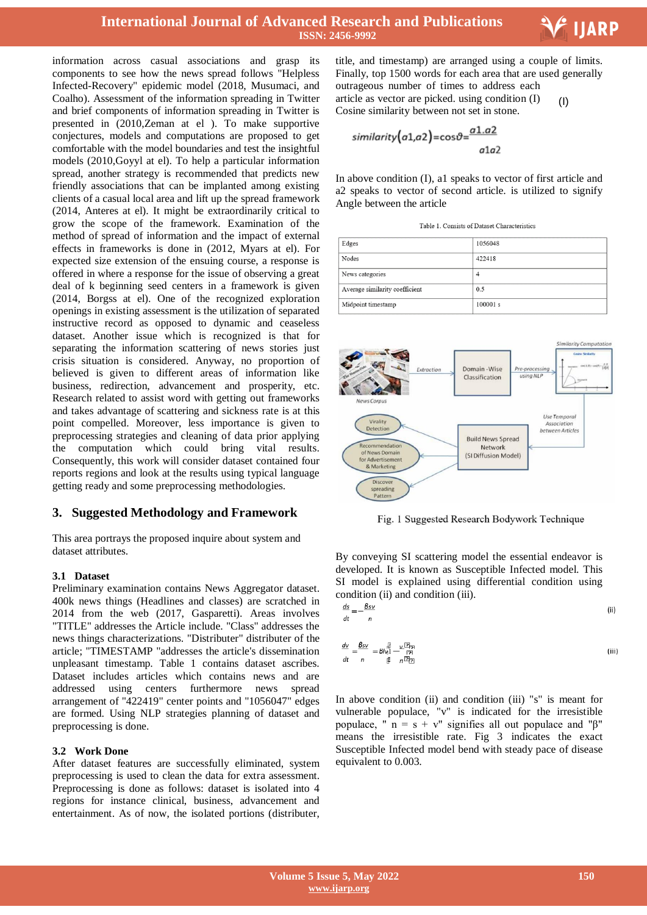# **International Journal of Advanced Research and Publications ISSN: 2456-9992**

information across casual associations and grasp its components to see how the news spread follows "Helpless Infected-Recovery" epidemic model (2018, Musumaci, and Coalho). Assessment of the information spreading in Twitter and brief components of information spreading in Twitter is presented in (2010,Zeman at el ). To make supportive conjectures, models and computations are proposed to get comfortable with the model boundaries and test the insightful models (2010,Goyyl at el). To help a particular information spread, another strategy is recommended that predicts new friendly associations that can be implanted among existing clients of a casual local area and lift up the spread framework (2014, Anteres at el). It might be extraordinarily critical to grow the scope of the framework. Examination of the method of spread of information and the impact of external effects in frameworks is done in (2012, Myars at el). For expected size extension of the ensuing course, a response is offered in where a response for the issue of observing a great deal of k beginning seed centers in a framework is given (2014, Borgss at el). One of the recognized exploration openings in existing assessment is the utilization of separated instructive record as opposed to dynamic and ceaseless dataset. Another issue which is recognized is that for separating the information scattering of news stories just crisis situation is considered. Anyway, no proportion of believed is given to different areas of information like business, redirection, advancement and prosperity, etc. Research related to assist word with getting out frameworks and takes advantage of scattering and sickness rate is at this point compelled. Moreover, less importance is given to preprocessing strategies and cleaning of data prior applying the computation which could bring vital results. Consequently, this work will consider dataset contained four reports regions and look at the results using typical language getting ready and some preprocessing methodologies.

# **3. Suggested Methodology and Framework**

This area portrays the proposed inquire about system and dataset attributes.

## **3.1 Dataset**

Preliminary examination contains News Aggregator dataset. 400k news things (Headlines and classes) are scratched in 2014 from the web (2017, Gasparetti). Areas involves "TITLE" addresses the Article include. "Class" addresses the news things characterizations. "Distributer" distributer of the article; "TIMESTAMP "addresses the article's dissemination unpleasant timestamp. Table 1 contains dataset ascribes. Dataset includes articles which contains news and are addressed using centers furthermore news spread arrangement of "422419" center points and "1056047" edges are formed. Using NLP strategies planning of dataset and preprocessing is done.

#### **3.2 Work Done**

After dataset features are successfully eliminated, system preprocessing is used to clean the data for extra assessment. Preprocessing is done as follows: dataset is isolated into 4 regions for instance clinical, business, advancement and entertainment. As of now, the isolated portions (distributer,

 title, and timestamp) are arranged using a couple of limits. Finally, top 1500 words for each area that are used generally outrageous number of times to address each

F IJARP

article as vector are picked. using condition (I) Cosine similarity between not set in stone. (I)

$$
similarity(a1,a2) = cos\vartheta = \frac{a1.a2}{a1a2}
$$

In above condition (I), a1 speaks to vector of first article and a2 speaks to vector of second article. is utilized to signify Angle between the article

| Table 1. Consists of Dataset Characteristics |
|----------------------------------------------|
|----------------------------------------------|

| Edges                          | 1056048  |
|--------------------------------|----------|
| Nodes                          | 422418   |
| News categories                | 4        |
| Average similarity coefficient | 0.5      |
| Midpoint timestamp             | 100001 s |



Fig. 1 Suggested Research Bodywork Technique

By conveying SI scattering model the essential endeavor is developed. It is known as Susceptible Infected model. This SI model is explained using differential condition using condition (ii) and condition (iii).

$$
\frac{ds}{dt} = -\frac{Bsv}{n}
$$
 (ii)

$$
\frac{dv}{dt} = \frac{Bsv}{n} = B\left|\frac{v}{v}\right| - \frac{vB}{n}
$$
\n
$$
\frac{dv}{dt} = \frac{B}{n} \frac{B}{n} \frac{vB}{n}
$$
\n
$$
(iii)
$$

In above condition (ii) and condition (iii) "s" is meant for vulnerable populace, "v" is indicated for the irresistible populace, "  $n = s + v$ " signifies all out populace and "β" means the irresistible rate. Fig 3 indicates the exact Susceptible Infected model bend with steady pace of disease equivalent to 0.003.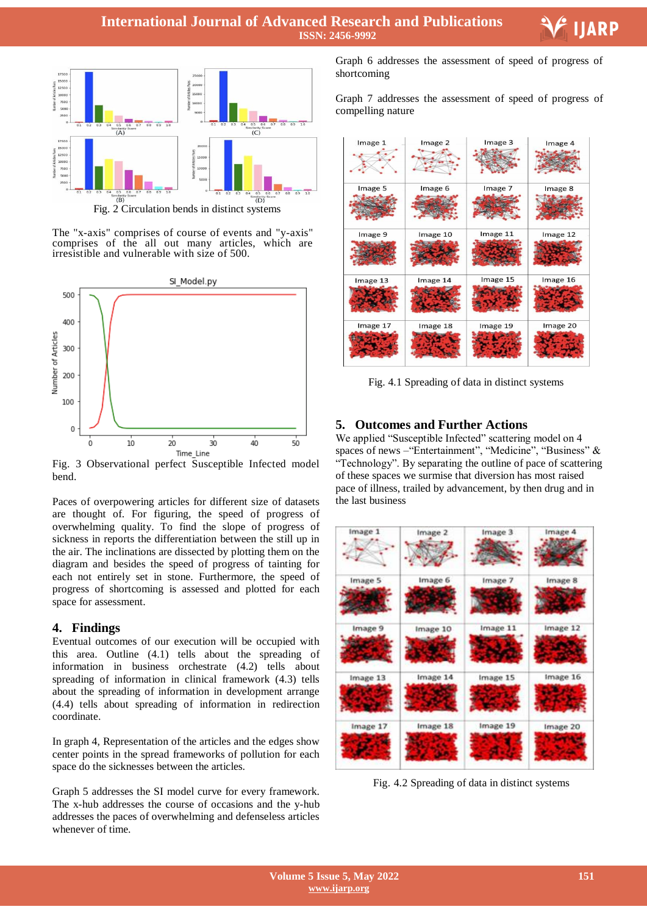

Fig. 2 Circulation bends in distinct systems

The "x-axis" comprises of course of events and "y-axis" comprises of the all out many articles, which are irresistible and vulnerable with size of 500.



Fig. 3 Observational perfect Susceptible Infected model bend.

Paces of overpowering articles for different size of datasets are thought of. For figuring, the speed of progress of overwhelming quality. To find the slope of progress of sickness in reports the differentiation between the still up in the air. The inclinations are dissected by plotting them on the diagram and besides the speed of progress of tainting for each not entirely set in stone. Furthermore, the speed of progress of shortcoming is assessed and plotted for each space for assessment.

# **4. Findings**

Eventual outcomes of our execution will be occupied with this area. Outline (4.1) tells about the spreading of information in business orchestrate (4.2) tells about spreading of information in clinical framework (4.3) tells about the spreading of information in development arrange (4.4) tells about spreading of information in redirection coordinate.

In graph 4, Representation of the articles and the edges show center points in the spread frameworks of pollution for each space do the sicknesses between the articles.

Graph 5 addresses the SI model curve for every framework. The x-hub addresses the course of occasions and the y-hub addresses the paces of overwhelming and defenseless articles whenever of time.

 Graph 6 addresses the assessment of speed of progress of shortcoming

Graph 7 addresses the assessment of speed of progress of compelling nature



Fig. 4.1 Spreading of data in distinct systems

# **5. Outcomes and Further Actions**

We applied "Susceptible Infected" scattering model on 4 spaces of news –"Entertainment", "Medicine", "Business" & "Technology". By separating the outline of pace of scattering of these spaces we surmise that diversion has most raised pace of illness, trailed by advancement, by then drug and in the last business



Fig. 4.2 Spreading of data in distinct systems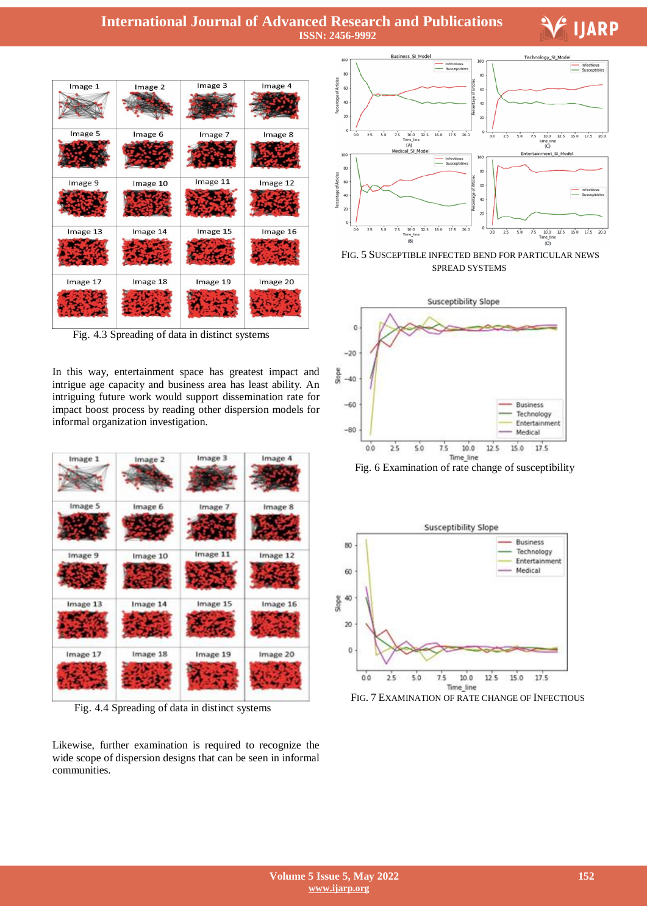# **International Journal of Advanced Research and Publications ISSN: 2456-9992**

## Image 3 Image 4 Image 1 Image 2 Image 5 Image 6 Image 7 Image 8 Image 9 Image 10 Image 11 Image 12 Image 13 Image 14 Image 15 Image 16 Image 18 Image 17 Image 19 Image 20

Fig. 4.3 Spreading of data in distinct systems

In this way, entertainment space has greatest impact and intrigue age capacity and business area has least ability. An intriguing future work would support dissemination rate for impact boost process by reading other dispersion models for informal organization investigation.

| Image 1  | Image 2  | Image 3  | Image 4  |
|----------|----------|----------|----------|
|          |          |          |          |
| Image 5  | Image 6  | Image 7  | Image 8  |
|          |          |          |          |
| Image 9  | Image 10 | Image 11 | Image 12 |
|          |          |          |          |
| Image 13 | Image 14 | Image 15 | Image 16 |
|          |          |          |          |
| Image 17 | Image 18 | Image 19 | Image 20 |
|          |          |          |          |
|          |          |          |          |

Fig. 4.4 Spreading of data in distinct systems

Likewise, further examination is required to recognize the wide scope of dispersion designs that can be seen in informal communities.



**IIARP** 

FIG. 5 SUSCEPTIBLE INFECTED BEND FOR PARTICULAR NEWS SPREAD SYSTEMS



Fig. 6 Examination of rate change of susceptibility



FIG. 7 EXAMINATION OF RATE CHANGE OF INFECTIOUS